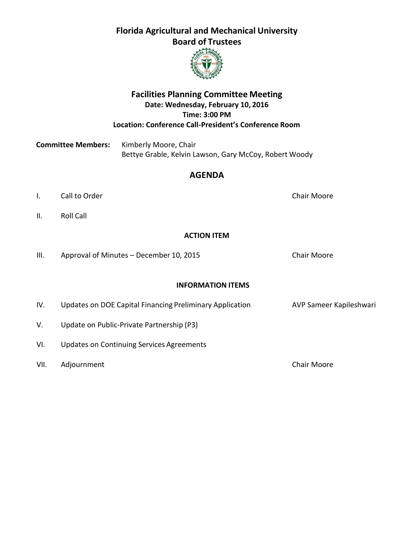

## **Facilities Planning Committee Meeting Date: Wednesday, February 10, 2016 Time: 3:00 PM Location: Conference Call-President's Conference Room**

**Committee Members:** Kimberly Moore, Chair Bettye Grable, Kelvin Lawson, Gary McCoy, Robert Woody

## **AGENDA**

- I. Call to Order Chair Moore
- II. Roll Call

#### **ACTION ITEM**

III. Approval of Minutes - December 10, 2015 Chair Moore

#### **INFORMATION ITEMS**

| IV.  | Updates on DOE Capital Financing Preliminary Application | AVP Sameer Kapileshwari |
|------|----------------------------------------------------------|-------------------------|
| V.   | Update on Public-Private Partnership (P3)                |                         |
| VI.  | Updates on Continuing Services Agreements                |                         |
| VII. | Adjournment                                              | <b>Chair Moore</b>      |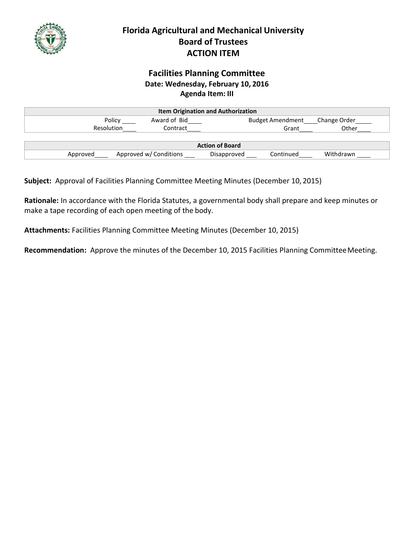

## **Facilities Planning Committee Date: Wednesday, February 10, 2016 Agenda Item: III**

| <b>Item Origination and Authorization</b> |                        |                          |              |  |
|-------------------------------------------|------------------------|--------------------------|--------------|--|
| Policy                                    | Award of Bid           | <b>Budget Amendment</b>  | Change Order |  |
| Resolution                                | Contract               | Grant                    | Other        |  |
|                                           |                        |                          |              |  |
| <b>Action of Board</b>                    |                        |                          |              |  |
| Approved                                  | Approved w/ Conditions | Continued<br>Disapproved | Withdrawn    |  |

**Subject:** Approval of Facilities Planning Committee Meeting Minutes (December 10, 2015)

**Rationale:** In accordance with the Florida Statutes, a governmental body shall prepare and keep minutes or make a tape recording of each open meeting of the body.

**Attachments:** Facilities Planning Committee Meeting Minutes (December 10, 2015)

**Recommendation:** Approve the minutes of the December 10, 2015 Facilities Planning CommitteeMeeting.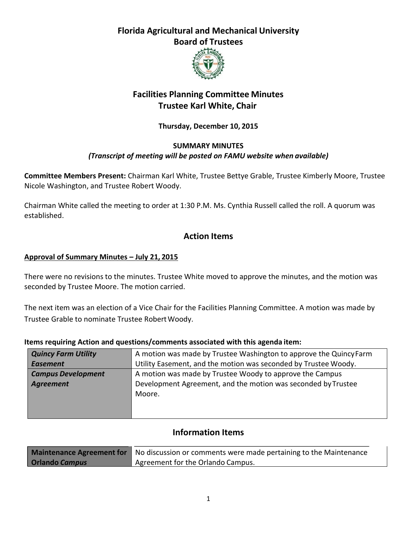

# **Facilities Planning Committee Minutes Trustee Karl White, Chair**

## **Thursday, December 10, 2015**

#### **SUMMARY MINUTES**

#### *(Transcript of meeting will be posted on FAMU website when available)*

**Committee Members Present:** Chairman Karl White, Trustee Bettye Grable, Trustee Kimberly Moore, Trustee Nicole Washington, and Trustee Robert Woody.

Chairman White called the meeting to order at 1:30 P.M. Ms. Cynthia Russell called the roll. A quorum was established.

## **Action Items**

#### **Approval of Summary Minutes – July 21, 2015**

There were no revisions to the minutes. Trustee White moved to approve the minutes, and the motion was seconded by Trustee Moore. The motion carried.

The next item was an election of a Vice Chair for the Facilities Planning Committee. A motion was made by Trustee Grable to nominate Trustee Robert Woody.

| <b>Quincy Farm Utility</b><br>A motion was made by Trustee Washington to approve the Quincy Farm |                                                                 |
|--------------------------------------------------------------------------------------------------|-----------------------------------------------------------------|
| <b>Easement</b>                                                                                  | Utility Easement, and the motion was seconded by Trustee Woody. |
| <b>Campus Development</b><br>A motion was made by Trustee Woody to approve the Campus            |                                                                 |
| Agreement                                                                                        | Development Agreement, and the motion was seconded by Trustee   |
|                                                                                                  | Moore.                                                          |
|                                                                                                  |                                                                 |
|                                                                                                  |                                                                 |

#### **Items requiring Action and questions/comments associated with this agenda item:**

# **Information Items**

|                       | <b>Maintenance Agreement for</b> No discussion or comments were made pertaining to the Maintenance |  |  |
|-----------------------|----------------------------------------------------------------------------------------------------|--|--|
| <b>Orlando Campus</b> | Agreement for the Orlando Campus.                                                                  |  |  |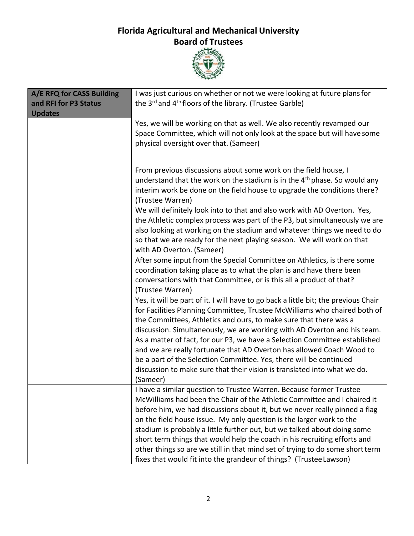

| A/E RFQ for CASS Building<br>and RFI for P3 Status<br><b>Updates</b> | I was just curious on whether or not we were looking at future plans for<br>the 3 <sup>rd</sup> and 4 <sup>th</sup> floors of the library. (Trustee Garble)                                                                                                                                                                                                                                                                                                                                                                                                                                                                            |
|----------------------------------------------------------------------|----------------------------------------------------------------------------------------------------------------------------------------------------------------------------------------------------------------------------------------------------------------------------------------------------------------------------------------------------------------------------------------------------------------------------------------------------------------------------------------------------------------------------------------------------------------------------------------------------------------------------------------|
|                                                                      | Yes, we will be working on that as well. We also recently revamped our<br>Space Committee, which will not only look at the space but will have some<br>physical oversight over that. (Sameer)                                                                                                                                                                                                                                                                                                                                                                                                                                          |
|                                                                      | From previous discussions about some work on the field house, I<br>understand that the work on the stadium is in the $4th$ phase. So would any<br>interim work be done on the field house to upgrade the conditions there?<br>(Trustee Warren)                                                                                                                                                                                                                                                                                                                                                                                         |
|                                                                      | We will definitely look into to that and also work with AD Overton. Yes,<br>the Athletic complex process was part of the P3, but simultaneously we are<br>also looking at working on the stadium and whatever things we need to do<br>so that we are ready for the next playing season. We will work on that<br>with AD Overton. (Sameer)                                                                                                                                                                                                                                                                                              |
|                                                                      | After some input from the Special Committee on Athletics, is there some<br>coordination taking place as to what the plan is and have there been<br>conversations with that Committee, or is this all a product of that?<br>(Trustee Warren)                                                                                                                                                                                                                                                                                                                                                                                            |
|                                                                      | Yes, it will be part of it. I will have to go back a little bit; the previous Chair<br>for Facilities Planning Committee, Trustee McWilliams who chaired both of<br>the Committees, Athletics and ours, to make sure that there was a<br>discussion. Simultaneously, we are working with AD Overton and his team.<br>As a matter of fact, for our P3, we have a Selection Committee established<br>and we are really fortunate that AD Overton has allowed Coach Wood to<br>be a part of the Selection Committee. Yes, there will be continued<br>discussion to make sure that their vision is translated into what we do.<br>(Sameer) |
|                                                                      | I have a similar question to Trustee Warren. Because former Trustee<br>McWilliams had been the Chair of the Athletic Committee and I chaired it<br>before him, we had discussions about it, but we never really pinned a flag<br>on the field house issue. My only question is the larger work to the<br>stadium is probably a little further out, but we talked about doing some<br>short term things that would help the coach in his recruiting efforts and<br>other things so are we still in that mind set of trying to do some short term<br>fixes that would fit into the grandeur of things? (Trustee Lawson)                  |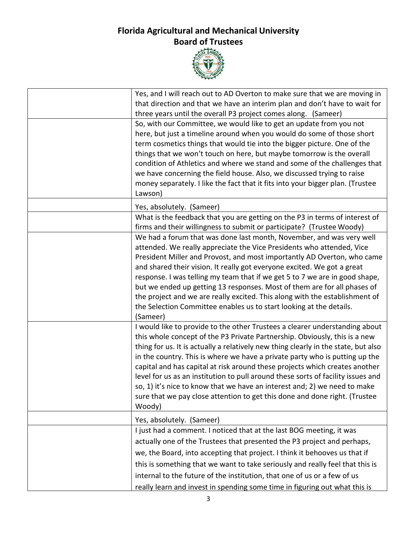

| Yes, and I will reach out to AD Overton to make sure that we are moving in<br>that direction and that we have an interim plan and don't have to wait for                                                                                                                                                                                                                                                                                                                                                                                                                                                                                                               |
|------------------------------------------------------------------------------------------------------------------------------------------------------------------------------------------------------------------------------------------------------------------------------------------------------------------------------------------------------------------------------------------------------------------------------------------------------------------------------------------------------------------------------------------------------------------------------------------------------------------------------------------------------------------------|
| three years until the overall P3 project comes along. (Sameer)                                                                                                                                                                                                                                                                                                                                                                                                                                                                                                                                                                                                         |
| So, with our Committee, we would like to get an update from you not<br>here, but just a timeline around when you would do some of those short<br>term cosmetics things that would tie into the bigger picture. One of the<br>things that we won't touch on here, but maybe tomorrow is the overall<br>condition of Athletics and where we stand and some of the challenges that<br>we have concerning the field house. Also, we discussed trying to raise<br>money separately. I like the fact that it fits into your bigger plan. (Trustee<br>Lawson)                                                                                                                 |
| Yes, absolutely. (Sameer)                                                                                                                                                                                                                                                                                                                                                                                                                                                                                                                                                                                                                                              |
| What is the feedback that you are getting on the P3 in terms of interest of<br>firms and their willingness to submit or participate? (Trustee Woody)                                                                                                                                                                                                                                                                                                                                                                                                                                                                                                                   |
| We had a forum that was done last month, November, and was very well<br>attended. We really appreciate the Vice Presidents who attended, Vice<br>President Miller and Provost, and most importantly AD Overton, who came<br>and shared their vision. It really got everyone excited. We got a great<br>response. I was telling my team that if we get 5 to 7 we are in good shape,<br>but we ended up getting 13 responses. Most of them are for all phases of<br>the project and we are really excited. This along with the establishment of<br>the Selection Committee enables us to start looking at the details.<br>(Sameer)                                       |
| I would like to provide to the other Trustees a clearer understanding about<br>this whole concept of the P3 Private Partnership. Obviously, this is a new<br>thing for us. It is actually a relatively new thing clearly in the state, but also<br>in the country. This is where we have a private party who is putting up the<br>capital and has capital at risk around these projects which creates another<br>level for us as an institution to pull around these sorts of facility issues and<br>so, 1) it's nice to know that we have an interest and; 2) we need to make<br>sure that we pay close attention to get this done and done right. (Trustee<br>Woody) |
| Yes, absolutely. (Sameer)                                                                                                                                                                                                                                                                                                                                                                                                                                                                                                                                                                                                                                              |
| I just had a comment. I noticed that at the last BOG meeting, it was<br>actually one of the Trustees that presented the P3 project and perhaps,<br>we, the Board, into accepting that project. I think it behooves us that if<br>this is something that we want to take seriously and really feel that this is<br>internal to the future of the institution, that one of us or a few of us                                                                                                                                                                                                                                                                             |
| really learn and invest in spending some time in figuring out what this is                                                                                                                                                                                                                                                                                                                                                                                                                                                                                                                                                                                             |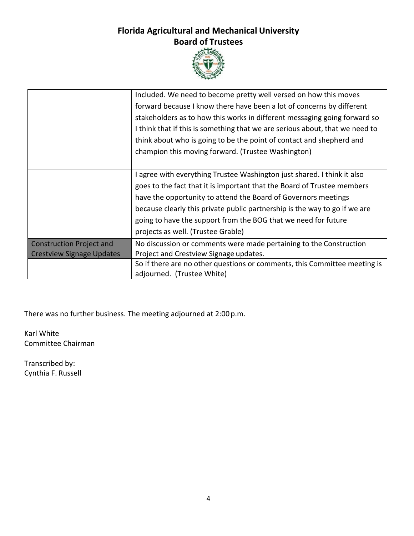

|                                  | Included. We need to become pretty well versed on how this moves             |
|----------------------------------|------------------------------------------------------------------------------|
|                                  | forward because I know there have been a lot of concerns by different        |
|                                  | stakeholders as to how this works in different messaging going forward so    |
|                                  | I think that if this is something that we are serious about, that we need to |
|                                  | think about who is going to be the point of contact and shepherd and         |
|                                  | champion this moving forward. (Trustee Washington)                           |
|                                  |                                                                              |
|                                  | I agree with everything Trustee Washington just shared. I think it also      |
|                                  | goes to the fact that it is important that the Board of Trustee members      |
|                                  | have the opportunity to attend the Board of Governors meetings               |
|                                  | because clearly this private public partnership is the way to go if we are   |
|                                  | going to have the support from the BOG that we need for future               |
|                                  | projects as well. (Trustee Grable)                                           |
| <b>Construction Project and</b>  | No discussion or comments were made pertaining to the Construction           |
| <b>Crestview Signage Updates</b> | Project and Crestview Signage updates.                                       |
|                                  | So if there are no other questions or comments, this Committee meeting is    |
|                                  | adjourned. (Trustee White)                                                   |

There was no further business. The meeting adjourned at 2:00 p.m.

Karl White Committee Chairman

Transcribed by: Cynthia F. Russell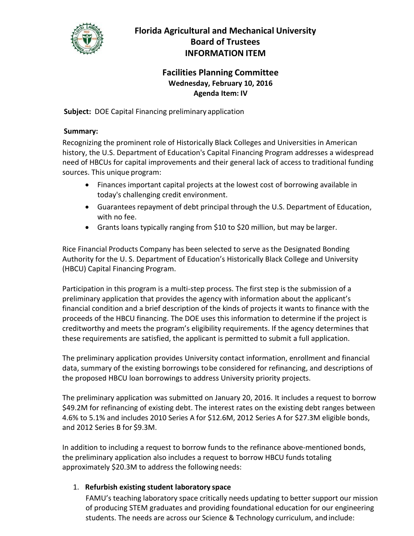

# **Facilities Planning Committee Wednesday, February 10, 2016 Agenda Item: IV**

**Subject:** DOE Capital Financing preliminary application

### **Summary:**

Recognizing the prominent role of Historically Black Colleges and Universities in American history, the U.S. Department of Education's Capital Financing Program addresses a widespread need of HBCUs for capital improvements and their general lack of access to traditional funding sources. This unique program:

- Finances important capital projects at the lowest cost of borrowing available in today's challenging credit environment.
- Guarantees repayment of debt principal through the U.S. Department of Education, with no fee.
- Grants loans typically ranging from \$10 to \$20 million, but may be larger.

Rice Financial Products Company has been selected to serve as the Designated Bonding Authority for the U. S. Department of Education's Historically Black College and University (HBCU) Capital Financing Program.

Participation in this program is a multi‐step process. The first step is the submission of a preliminary application that provides the agency with information about the applicant's financial condition and a brief description of the kinds of projects it wants to finance with the proceeds of the HBCU financing. The DOE uses this information to determine if the project is creditworthy and meets the program's eligibility requirements. If the agency determines that these requirements are satisfied, the applicant is permitted to submit a full application.

The preliminary application provides University contact information, enrollment and financial data, summary of the existing borrowings tobe considered for refinancing, and descriptions of the proposed HBCU loan borrowings to address University priority projects.

The preliminary application was submitted on January 20, 2016. It includes a request to borrow \$49.2M for refinancing of existing debt. The interest rates on the existing debt ranges between 4.6% to 5.1% and includes 2010 Series A for \$12.6M, 2012 Series A for \$27.3M eligible bonds, and 2012 Series B for \$9.3M.

In addition to including a request to borrow funds to the refinance above-mentioned bonds, the preliminary application also includes a request to borrow HBCU funds totaling approximately \$20.3M to address the following needs:

## 1. **Refurbish existing student laboratory space**

FAMU's teaching laboratory space critically needs updating to better support our mission of producing STEM graduates and providing foundational education for our engineering students. The needs are across our Science & Technology curriculum, and include: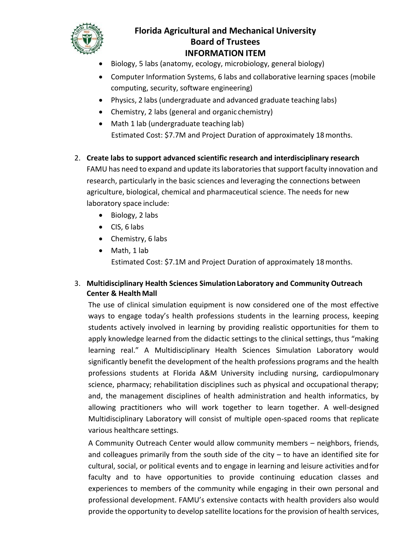

- Biology, 5 labs (anatomy, ecology, microbiology, general biology)
- Computer Information Systems, 6 labs and collaborative learning spaces (mobile computing, security, software engineering)
- Physics, 2 labs (undergraduate and advanced graduate teaching labs)
- Chemistry, 2 labs (general and organic chemistry)
- Math 1 lab (undergraduate teaching lab) Estimated Cost: \$7.7M and Project Duration of approximately 18months.
- 2. **Create labs to support advanced scientific research and interdisciplinary research**

FAMU has need to expand and update its laboratories that support faculty innovation and research, particularly in the basic sciences and leveraging the connections between agriculture, biological, chemical and pharmaceutical science. The needs for new laboratory space include:

- $\bullet$  Biology, 2 labs
- CIS, 6 labs
- Chemistry, 6 labs
- Math, 1 lab Estimated Cost: \$7.1M and Project Duration of approximately 18months.

## 3. **Multidisciplinary Health Sciences SimulationLaboratory and Community Outreach Center & Health Mall**

The use of clinical simulation equipment is now considered one of the most effective ways to engage today's health professions students in the learning process, keeping students actively involved in learning by providing realistic opportunities for them to apply knowledge learned from the didactic settings to the clinical settings, thus "making learning real." A Multidisciplinary Health Sciences Simulation Laboratory would significantly benefit the development of the health professions programs and the health professions students at Florida A&M University including nursing, cardiopulmonary science, pharmacy; rehabilitation disciplines such as physical and occupational therapy; and, the management disciplines of health administration and health informatics, by allowing practitioners who will work together to learn together. A well‐designed Multidisciplinary Laboratory will consist of multiple open‐spaced rooms that replicate various healthcare settings.

A Community Outreach Center would allow community members – neighbors, friends, and colleagues primarily from the south side of the city  $-$  to have an identified site for cultural, social, or political events and to engage in learning and leisure activities andfor faculty and to have opportunities to provide continuing education classes and experiences to members of the community while engaging in their own personal and professional development. FAMU's extensive contacts with health providers also would provide the opportunity to develop satellite locations for the provision of health services,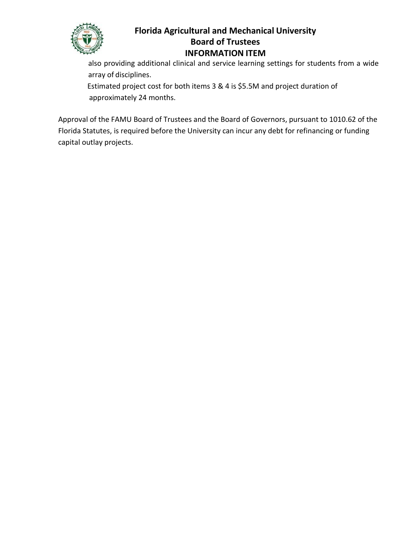

also providing additional clinical and service learning settings for students from a wide array of disciplines.

Estimated project cost for both items 3 & 4 is \$5.5M and project duration of approximately 24 months.

Approval of the FAMU Board of Trustees and the Board of Governors, pursuant to 1010.62 of the Florida Statutes, is required before the University can incur any debt for refinancing or funding capital outlay projects.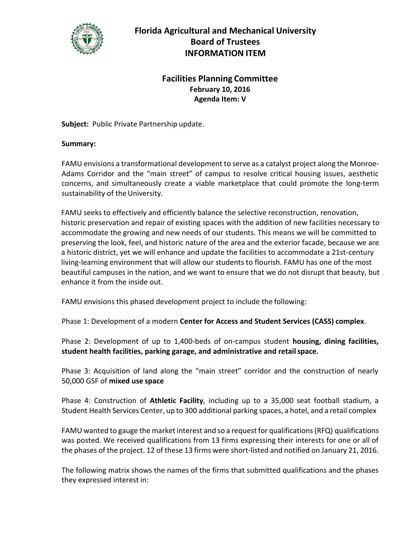

## **Facilities Planning Committee February 10, 2016 Agenda Item: V**

**Subject:** Public Private Partnership update.

#### **Summary:**

FAMU envisions a transformational development to serve as a catalyst project along the Monroe-Adams Corridor and the "main street" of campus to resolve critical housing issues, aesthetic concerns, and simultaneously create a viable marketplace that could promote the long-term sustainability of the University.

FAMU seeks to effectively and efficiently balance the selective reconstruction, renovation, historic preservation and repair of existing spaces with the addition of new facilities necessary to accommodate the growing and new needs of our students. This means we will be committed to preserving the look, feel, and historic nature of the area and the exterior facade, because we are a historic district, yet we will enhance and update the facilities to accommodate a 21st-century living-learning environment that will allow our students to flourish. FAMU has one of the most beautiful campuses in the nation, and we want to ensure that we do not disrupt that beauty, but enhance it from the inside out.

FAMU envisions this phased development project to include the following:

Phase 1: Development of a modern **Center for Access and Student Services (CASS) complex**.

Phase 2: Development of up to 1,400-beds of on-campus student **housing, dining facilities, student health facilities, parking garage, and administrative and retailspace.**

Phase 3: Acquisition of land along the "main street" corridor and the construction of nearly 50,000 GSF of **mixed use space**

Phase 4: Construction of **Athletic Facility**, including up to a 35,000 seat football stadium, a Student Health Services Center, up to 300 additional parking spaces, a hotel, and a retail complex

FAMU wanted to gauge the market interest and so a request for qualifications(RFQ) qualifications was posted. We received qualifications from 13 firms expressing their interests for one or all of the phases of the project. 12 of these 13 firms were short-listed and notified on January 21, 2016.

The following matrix shows the names of the firms that submitted qualifications and the phases they expressed interest in: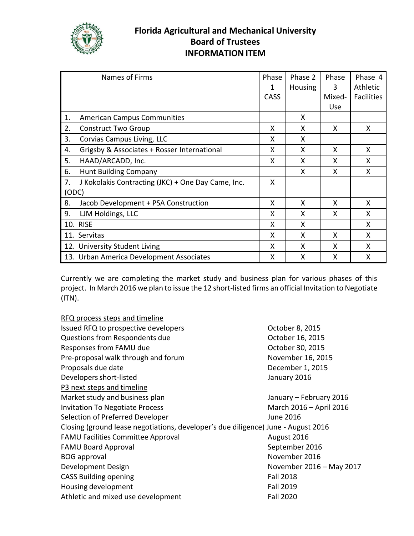

| Names of Firms                                           | Phase       | Phase 2        | Phase  | Phase 4           |
|----------------------------------------------------------|-------------|----------------|--------|-------------------|
|                                                          | 1           | <b>Housing</b> | 3      | <b>Athletic</b>   |
|                                                          | <b>CASS</b> |                | Mixed- | <b>Facilities</b> |
|                                                          |             |                | Use    |                   |
| <b>American Campus Communities</b><br>1.                 |             | X              |        |                   |
| 2.<br><b>Construct Two Group</b>                         | X           | X              | X      | X                 |
| 3.<br>Corvias Campus Living, LLC                         | X           | X              |        |                   |
| Grigsby & Associates + Rosser International<br>4.        | X           | X              | X      | X                 |
| HAAD/ARCADD, Inc.<br>5.                                  | X           | X              | X      | X                 |
| <b>Hunt Building Company</b><br>6.                       |             | X              | X      | Χ                 |
| J Kokolakis Contracting (JKC) + One Day Came, Inc.<br>7. | X           |                |        |                   |
| (ODC)                                                    |             |                |        |                   |
| 8.<br>Jacob Development + PSA Construction               | X           | X              | X      | X                 |
| LJM Holdings, LLC<br>9.                                  | X           | X              | X      | x                 |
| <b>10. RISE</b>                                          | X           | X              |        | X                 |
| 11. Servitas                                             | X           | X              | X      | X                 |
| 12. University Student Living                            | X           | X              | X      | X                 |
| 13. Urban America Development Associates                 | x           | X              | X      | x                 |

Currently we are completing the market study and business plan for various phases of this project. In March 2016 we plan to issue the 12 short-listed firms an official Invitation to Negotiate (ITN).

| RFQ process steps and timeline                                                    |                          |
|-----------------------------------------------------------------------------------|--------------------------|
| Issued RFQ to prospective developers                                              | October 8, 2015          |
| Questions from Respondents due                                                    | October 16, 2015         |
| Responses from FAMU due                                                           | October 30, 2015         |
| Pre-proposal walk through and forum                                               | November 16, 2015        |
| Proposals due date                                                                | December 1, 2015         |
| Developers short-listed                                                           | January 2016             |
| P3 next steps and timeline                                                        |                          |
| Market study and business plan                                                    | January - February 2016  |
| <b>Invitation To Negotiate Process</b>                                            | March 2016 - April 2016  |
| Selection of Preferred Developer                                                  | June 2016                |
| Closing (ground lease negotiations, developer's due diligence) June - August 2016 |                          |
| <b>FAMU Facilities Committee Approval</b>                                         | August 2016              |
| <b>FAMU Board Approval</b>                                                        | September 2016           |
| <b>BOG</b> approval                                                               | November 2016            |
| Development Design                                                                | November 2016 - May 2017 |
| <b>CASS Building opening</b>                                                      | <b>Fall 2018</b>         |
| Housing development                                                               | <b>Fall 2019</b>         |
| Athletic and mixed use development                                                | <b>Fall 2020</b>         |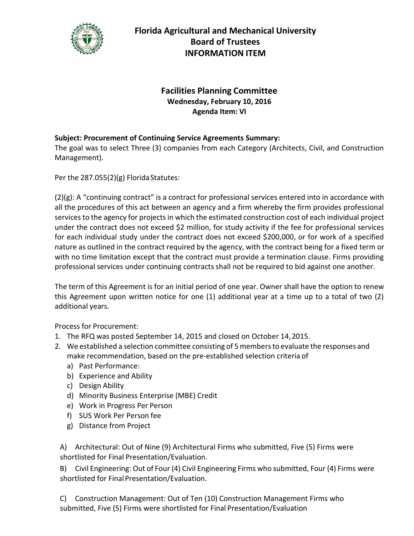

# **Facilities Planning Committee Wednesday, February 10, 2016 Agenda Item: VI**

## **Subject: Procurement of Continuing Service Agreements Summary:**

The goal was to select Three (3) companies from each Category (Architects, Civil, and Construction Management).

Per the  $287.055(2)(g)$  Florida Statutes:

(2)(g): A "continuing contract" is a contract for professional services entered into in accordance with all the procedures of this act between an agency and a firm whereby the firm provides professional services to the agency for projects in which the estimated construction cost of each individual project under the contract does not exceed \$2 million, for study activity if the fee for professional services for each individual study under the contract does not exceed \$200,000, or for work of a specified nature as outlined in the contract required by the agency, with the contract being for a fixed term or with no time limitation except that the contract must provide a termination clause. Firms providing professional services under continuing contracts shall not be required to bid against one another.

The term of this Agreement is for an initial period of one year. Owner shall have the option to renew this Agreement upon written notice for one (1) additional year at a time up to a total of two (2) additional years.

Process for Procurement:

- 1. The RFQ was posted September 14, 2015 and closed on October 14,2015.
- 2. We established a selection committee consisting of 5 membersto evaluate the responses and make recommendation, based on the pre‐established selection criteria of
	- a) Past Performance:
	- b) Experience and Ability
	- c) Design Ability
	- d) Minority Business Enterprise (MBE) Credit
	- e) Work in Progress Per Person
	- f) SUS Work Per Person fee
	- g) Distance from Project

A) Architectural: Out of Nine (9) Architectural Firms who submitted, Five (5) Firms were shortlisted for Final Presentation/Evaluation.

B) Civil Engineering: Out of Four (4) Civil Engineering Firms who submitted, Four (4) Firms were shortlisted for FinalPresentation/Evaluation.

C) Construction Management: Out of Ten (10) Construction Management Firms who submitted, Five (5) Firms were shortlisted for Final Presentation/Evaluation